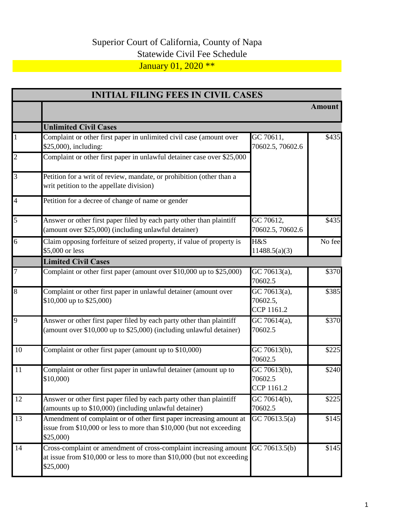## Superior Court of California, County of Napa Statewide Civil Fee Schedule January 01, 2020 \*\*

| <b>INITIAL FILING FEES IN CIVIL CASES</b> |                                                                                                                                                                        |                                                      |                   |
|-------------------------------------------|------------------------------------------------------------------------------------------------------------------------------------------------------------------------|------------------------------------------------------|-------------------|
|                                           |                                                                                                                                                                        |                                                      | Amount            |
|                                           | <b>Unlimited Civil Cases</b>                                                                                                                                           |                                                      |                   |
| $\mathbf{1}$                              | Complaint or other first paper in unlimited civil case (amount over<br>\$25,000), including:                                                                           | GC 70611,<br>70602.5, 70602.6                        | \$435             |
| $\overline{2}$                            | Complaint or other first paper in unlawful detainer case over \$25,000                                                                                                 |                                                      |                   |
| $\overline{3}$                            | Petition for a writ of review, mandate, or prohibition (other than a<br>writ petition to the appellate division)                                                       |                                                      |                   |
| $\overline{4}$                            | Petition for a decree of change of name or gender                                                                                                                      |                                                      |                   |
| 5                                         | Answer or other first paper filed by each party other than plaintiff<br>(amount over \$25,000) (including unlawful detainer)                                           | GC 70612,<br>70602.5, 70602.6                        | \$435             |
| $\overline{6}$                            | Claim opposing forfeiture of seized property, if value of property is<br>\$5,000 or less                                                                               | H&S<br>11488.5(a)(3)                                 | No fee            |
|                                           | <b>Limited Civil Cases</b>                                                                                                                                             |                                                      |                   |
| $\overline{7}$                            | Complaint or other first paper (amount over $$10,000$ up to $$25,000$ )                                                                                                | GC 70613(a),<br>70602.5                              | \$370             |
| $\overline{8}$                            | Complaint or other first paper in unlawful detainer (amount over<br>\$10,000 up to \$25,000)                                                                           | $\overline{GC 70613}$ (a),<br>70602.5,<br>CCP 1161.2 | \$385             |
| 9                                         | Answer or other first paper filed by each party other than plaintiff<br>(amount over \$10,000 up to \$25,000) (including unlawful detainer)                            | GC 70614(a),<br>70602.5                              | \$370             |
| 10                                        | Complaint or other first paper (amount up to \$10,000)                                                                                                                 | GC 70613(b),<br>70602.5                              | \$225             |
| 11                                        | Complaint or other first paper in unlawful detainer (amount up to<br>\$10,000)                                                                                         | GC 70613(b),<br>70602.5<br>CCP 1161.2                | \$240             |
| 12                                        | Answer or other first paper filed by each party other than plaintiff<br>(amounts up to \$10,000) (including unlawful detainer)                                         | GC 70614(b),<br>70602.5                              | \$225             |
| 13                                        | Amendment of complaint or of other first paper increasing amount at<br>issue from \$10,000 or less to more than \$10,000 (but not exceeding<br>\$25,000                | GC 70613.5(a)                                        | $\overline{$}145$ |
| 14                                        | Cross-complaint or amendment of cross-complaint increasing amount GC 70613.5(b)<br>at issue from \$10,000 or less to more than \$10,000 (but not exceeding<br>\$25,000 |                                                      | \$145             |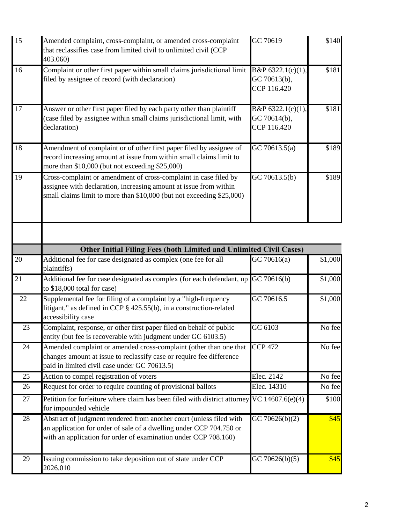| 15              | Amended complaint, cross-complaint, or amended cross-complaint<br>that reclassifies case from limited civil to unlimited civil (CCP<br>403.060)                                                                | GC 70619                                         | \$140   |
|-----------------|----------------------------------------------------------------------------------------------------------------------------------------------------------------------------------------------------------------|--------------------------------------------------|---------|
| 16              | Complaint or other first paper within small claims jurisdictional limit<br>filed by assignee of record (with declaration)                                                                                      | B&P 6322.1(c)(1),<br>GC 70613(b),<br>CCP 116.420 | \$181   |
| 17              | Answer or other first paper filed by each party other than plaintiff<br>(case filed by assignee within small claims jurisdictional limit, with<br>declaration)                                                 | B&P 6322.1(c)(1),<br>GC 70614(b),<br>CCP 116.420 | \$181   |
| 18              | Amendment of complaint or of other first paper filed by assignee of<br>record increasing amount at issue from within small claims limit to<br>more than \$10,000 (but not exceeding \$25,000)                  | GC 70613.5(a)                                    | \$189   |
| 19              | Cross-complaint or amendment of cross-complaint in case filed by<br>assignee with declaration, increasing amount at issue from within<br>small claims limit to more than \$10,000 (but not exceeding \$25,000) | GC 70613.5(b)                                    | \$189   |
|                 |                                                                                                                                                                                                                |                                                  |         |
|                 | <b>Other Initial Filing Fees (both Limited and Unlimited Civil Cases)</b>                                                                                                                                      |                                                  |         |
| 20              | Additional fee for case designated as complex (one fee for all<br>plaintiffs)                                                                                                                                  | GC70616(a)                                       | \$1,000 |
| $\overline{21}$ | Additional fee for case designated as complex (for each defendant, up<br>to \$18,000 total for case)                                                                                                           | GC 70616(b)                                      | \$1,000 |
| 22              | Supplemental fee for filing of a complaint by a "high-frequency<br>litigant," as defined in CCP § 425.55(b), in a construction-related<br>accessibility case                                                   | GC 70616.5                                       | \$1,000 |
| 23              | Complaint, response, or other first paper filed on behalf of public<br>entity (but fee is recoverable with judgment under GC 6103.5)                                                                           | GC 6103                                          | No fee  |
| 24              | Amended complaint or amended cross-complaint (other than one that<br>changes amount at issue to reclassify case or require fee difference<br>paid in limited civil case under GC 70613.5)                      | <b>CCP 472</b>                                   | No fee  |
| 25              | Action to compel registration of voters                                                                                                                                                                        | Elec. 2142                                       | No fee  |
| 26              | Request for order to require counting of provisional ballots                                                                                                                                                   | Elec. 14310                                      | No fee  |
| 27              | Petition for forfeiture where claim has been filed with district attorney<br>for impounded vehicle                                                                                                             | VC 14607.6(e)(4)                                 | \$100   |
| 28              | Abstract of judgment rendered from another court (unless filed with<br>an application for order of sale of a dwelling under CCP 704.750 or<br>with an application for order of examination under CCP 708.160)  | GC 70626(b)(2)                                   | \$45    |
| 29              | Issuing commission to take deposition out of state under CCP<br>2026.010                                                                                                                                       | GC 70626(b)(5)                                   | \$45    |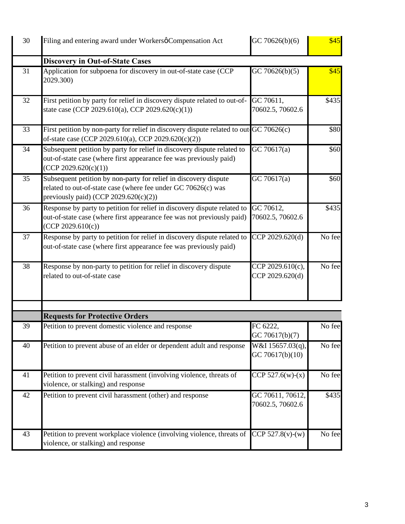| 30 | Filing and entering award under Workersø Compensation Act                                                                                                                  | GC 70626(b)(6)                       | \$45   |
|----|----------------------------------------------------------------------------------------------------------------------------------------------------------------------------|--------------------------------------|--------|
|    | <b>Discovery in Out-of-State Cases</b>                                                                                                                                     |                                      |        |
| 31 | Application for subpoena for discovery in out-of-state case (CCP<br>2029.300)                                                                                              | GC 70626(b)(5)                       | \$45   |
| 32 | First petition by party for relief in discovery dispute related to out-of-<br>state case (CCP 2029.610(a), CCP 2029.620(c)(1))                                             | GC 70611,<br>70602.5, 70602.6        | \$435  |
| 33 | First petition by non-party for relief in discovery dispute related to out GC 70626(c)<br>of-state case (CCP 2029.610(a), CCP 2029.620(c)(2))                              |                                      | \$80   |
| 34 | Subsequent petition by party for relief in discovery dispute related to<br>out-of-state case (where first appearance fee was previously paid)<br>(CCP 2029.620(c)(1))      | GC 70617(a)                          | \$60   |
| 35 | Subsequent petition by non-party for relief in discovery dispute<br>related to out-of-state case (where fee under GC 70626(c) was<br>previously paid) (CCP 2029.620(c)(2)) | GC 70617(a)                          | \$60   |
| 36 | Response by party to petition for relief in discovery dispute related to<br>out-of-state case (where first appearance fee was not previously paid)<br>(CCP 2029.610(c))    | GC 70612,<br>70602.5, 70602.6        | \$435  |
| 37 | Response by party to petition for relief in discovery dispute related to<br>out-of-state case (where first appearance fee was previously paid)                             | CCP 2029.620(d)                      | No fee |
| 38 | Response by non-party to petition for relief in discovery dispute<br>related to out-of-state case                                                                          | CCP 2029.610(c),<br>CCP 2029.620(d)  | No fee |
|    |                                                                                                                                                                            |                                      |        |
|    | <b>Requests for Protective Orders</b>                                                                                                                                      |                                      |        |
| 39 | Petition to prevent domestic violence and response                                                                                                                         | FC 6222,<br>GC 70617(b)(7)           | No fee |
| 40 | Petition to prevent abuse of an elder or dependent adult and response                                                                                                      | W&I 15657.03(q),<br>GC 70617(b)(10)  | No fee |
| 41 | Petition to prevent civil harassment (involving violence, threats of<br>violence, or stalking) and response                                                                | CCP 527.6(w)-(x)                     | No fee |
| 42 | Petition to prevent civil harassment (other) and response                                                                                                                  | GC 70611, 70612,<br>70602.5, 70602.6 | \$435  |
| 43 | Petition to prevent workplace violence (involving violence, threats of CCP 527.8(v)-(w)<br>violence, or stalking) and response                                             |                                      | No fee |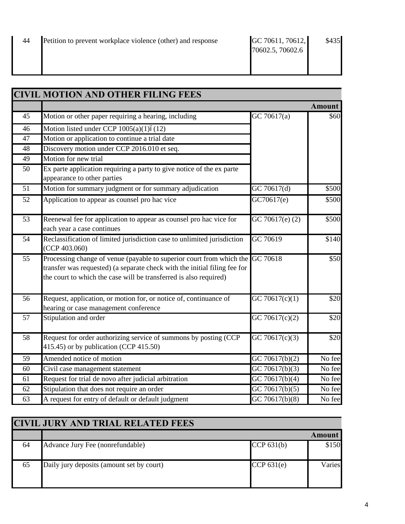|                 | <b>CIVIL MOTION AND OTHER FILING FEES</b>                                                                                                                                                                              |                             |        |
|-----------------|------------------------------------------------------------------------------------------------------------------------------------------------------------------------------------------------------------------------|-----------------------------|--------|
|                 |                                                                                                                                                                                                                        |                             | Amount |
| 45              | Motion or other paper requiring a hearing, including                                                                                                                                                                   | GC 70617(a)                 | \$60   |
| 46              | Motion listed under CCP $1005(a)(1)6(12)$                                                                                                                                                                              |                             |        |
| 47              | Motion or application to continue a trial date                                                                                                                                                                         |                             |        |
| 48              | Discovery motion under CCP 2016.010 et seq.                                                                                                                                                                            |                             |        |
| 49              | Motion for new trial                                                                                                                                                                                                   |                             |        |
| 50              | Ex parte application requiring a party to give notice of the ex parte<br>appearance to other parties                                                                                                                   |                             |        |
| 51              | Motion for summary judgment or for summary adjudication                                                                                                                                                                | GC 70617(d)                 | \$500  |
| 52              | Application to appear as counsel pro hac vice                                                                                                                                                                          | GC70617(e)                  | \$500  |
| 53              | Reenewal fee for application to appear as counsel pro hac vice for<br>each year a case continues                                                                                                                       | GC 70617(e) (2)             | \$500  |
| 54              | Reclassification of limited jurisdiction case to unlimited jurisdiction<br>(CCP 403.060)                                                                                                                               | GC 70619                    | \$140  |
| $\overline{55}$ | Processing change of venue (payable to superior court from which the<br>transfer was requested) (a separate check with the initial filing fee for<br>the court to which the case will be transferred is also required) | GC 70618                    | \$50   |
| 56              | Request, application, or motion for, or notice of, continuance of<br>hearing or case management conference                                                                                                             | $\overline{GC 706}17(c)(1)$ | \$20   |
| 57              | Stipulation and order                                                                                                                                                                                                  | GC 70617(c)(2)              | \$20   |
| 58              | Request for order authorizing service of summons by posting (CCP<br>415.45) or by publication (CCP 415.50)                                                                                                             | GC 70617(c)(3)              | \$20   |
| $\overline{59}$ | Amended notice of motion                                                                                                                                                                                               | GC 70617(b)(2)              | No fee |
| 60              | Civil case management statement                                                                                                                                                                                        | GC 70617(b)(3)              | No fee |
| 61              | Request for trial de novo after judicial arbitration                                                                                                                                                                   | GC 70617(b)(4)              | No fee |
| 62              | Stipulation that does not require an order                                                                                                                                                                             | GC 70617(b)(5)              | No fee |
| 63              | A request for entry of default or default judgment                                                                                                                                                                     | $\overline{GC}$ 70617(b)(8) | No fee |

| <b>CIVIL JURY AND TRIAL RELATED FEES</b> |                                           |              |        |
|------------------------------------------|-------------------------------------------|--------------|--------|
|                                          |                                           |              | Amount |
| 64                                       | Advance Jury Fee (nonrefundable)          | CCP $631(b)$ | \$150  |
| 65                                       | Daily jury deposits (amount set by court) | CCP $631(e)$ | Varies |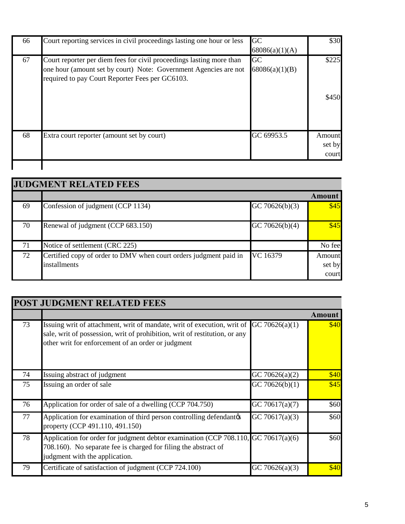| 66 | Court reporting services in civil proceedings lasting one hour or less                                                                                                                      | GC<br>68086(a)(1)(A) | \$30                      |
|----|---------------------------------------------------------------------------------------------------------------------------------------------------------------------------------------------|----------------------|---------------------------|
| 67 | Court reporter per diem fees for civil proceedings lasting more than<br>one hour (amount set by court) Note: Government Agencies are not<br>required to pay Court Reporter Fees per GC6103. | GC<br>68086(a)(1)(B) | \$225<br>\$450            |
| 68 | Extra court reporter (amount set by court)                                                                                                                                                  | GC 69953.5           | Amount<br>set by<br>court |
|    |                                                                                                                                                                                             |                      |                           |

| <b>JUDGMENT RELATED FEES</b> |                                                                                   |                |                           |
|------------------------------|-----------------------------------------------------------------------------------|----------------|---------------------------|
|                              |                                                                                   |                | Amount                    |
| 69                           | Confession of judgment (CCP 1134)                                                 | GC 70626(b)(3) | \$45                      |
| 70                           | Renewal of judgment (CCP 683.150)                                                 | GC 70626(b)(4) | \$45                      |
| 71                           | Notice of settlement (CRC 225)                                                    |                | No fee                    |
| 72                           | Certified copy of order to DMV when court orders judgment paid in<br>installments | VC 16379       | Amount<br>set by<br>court |

| <b>POST JUDGMENT RELATED FEES</b> |                                                                                                                                                                                                             |                   |               |
|-----------------------------------|-------------------------------------------------------------------------------------------------------------------------------------------------------------------------------------------------------------|-------------------|---------------|
|                                   |                                                                                                                                                                                                             |                   | <b>Amount</b> |
| 73                                | Issuing writ of attachment, writ of mandate, writ of execution, writ of<br>sale, writ of possession, writ of prohibition, writ of restitution, or any<br>other writ for enforcement of an order or judgment | GC 70626(a)(1)    | \$40          |
| 74                                | Issuing abstract of judgment                                                                                                                                                                                | GC 70626(a) $(2)$ | \$40          |
| 75                                | Issuing an order of sale                                                                                                                                                                                    | GC 70626(b)(1)    | \$45          |
| 76                                | Application for order of sale of a dwelling (CCP 704.750)                                                                                                                                                   | GC 70617(a)(7)    | \$60          |
| 77                                | Application for examination of third person controlling defendantos<br>property (CCP 491.110, 491.150)                                                                                                      | GC 70617(a)(3)    | \$60          |
| 78                                | Application for order for judgment debtor examination (CCP 708.110, GC 70617(a)(6)<br>708.160). No separate fee is charged for filing the abstract of<br>judgment with the application.                     |                   | \$60          |
| 79                                | Certificate of satisfaction of judgment (CCP 724.100)                                                                                                                                                       | GC 70626(a)(3)    | \$40          |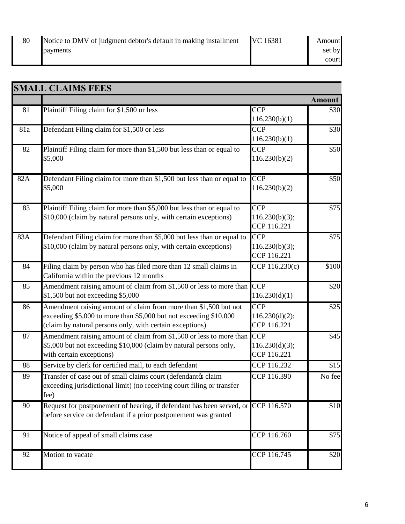| Notice to DMV of judgment debtor's default in making installment VC 16381 | Amount |
|---------------------------------------------------------------------------|--------|
| payments                                                                  | set by |
|                                                                           | court  |

|     | <b>SMALL CLAIMS FEES</b>                                                                                                                                                                          |                                                   |                   |
|-----|---------------------------------------------------------------------------------------------------------------------------------------------------------------------------------------------------|---------------------------------------------------|-------------------|
|     |                                                                                                                                                                                                   |                                                   | <b>Amount</b>     |
| 81  | Plaintiff Filing claim for \$1,500 or less                                                                                                                                                        | <b>CCP</b><br>116.230(b)(1)                       | \$30              |
| 81a | Defendant Filing claim for \$1,500 or less                                                                                                                                                        | <b>CCP</b><br>116.230(b)(1)                       | \$30              |
| 82  | Plaintiff Filing claim for more than \$1,500 but less than or equal to<br>\$5,000                                                                                                                 | <b>CCP</b><br>116.230(b)(2)                       | \$50              |
| 82A | Defendant Filing claim for more than \$1,500 but less than or equal to<br>\$5,000                                                                                                                 | $\overline{\text{CCP}}$<br>116.230(b)(2)          | \$50              |
| 83  | Plaintiff Filing claim for more than \$5,000 but less than or equal to<br>\$10,000 (claim by natural persons only, with certain exceptions)                                                       | <b>CCP</b><br>116.230(b)(3);<br>CCP 116.221       | \$75              |
| 83A | Defendant Filing claim for more than \$5,000 but less than or equal to<br>\$10,000 (claim by natural persons only, with certain exceptions)                                                       | <b>CCP</b><br>116.230(b)(3);<br>CCP 116.221       | \$75              |
| 84  | Filing claim by person who has filed more than 12 small claims in<br>California within the previous 12 months                                                                                     | CCP 116.230(c)                                    | $\overline{$}100$ |
| 85  | Amendment raising amount of claim from \$1,500 or less to more than CCP<br>\$1,500 but not exceeding \$5,000                                                                                      | 116.230(d)(1)                                     | \$20              |
| 86  | Amendment raising amount of claim from more than \$1,500 but not<br>exceeding \$5,000 to more than \$5,000 but not exceeding \$10,000<br>(claim by natural persons only, with certain exceptions) | $\overline{CCP}$<br>116.230(d)(2);<br>CCP 116.221 | $\overline{$}25$  |
| 87  | Amendment raising amount of claim from \$1,500 or less to more than<br>\$5,000 but not exceeding \$10,000 (claim by natural persons only,<br>with certain exceptions)                             | <b>CCP</b><br>116.230(d)(3);<br>CCP 116.221       | \$45              |
| 88  | Service by clerk for certified mail, to each defendant                                                                                                                                            | CCP 116.232                                       | \$15              |
| 89  | Transfer of case out of small claims court (defendantøs claim<br>exceeding jurisdictional limit) (no receiving court filing or transfer<br>fee)                                                   | CCP 116.390                                       | No fee            |
| 90  | Request for postponement of hearing, if defendant has been served, or CCP 116.570<br>before service on defendant if a prior postponement was granted                                              |                                                   | \$10              |
| 91  | Notice of appeal of small claims case                                                                                                                                                             | CCP 116.760                                       | \$75              |
| 92  | Motion to vacate                                                                                                                                                                                  | CCP 116.745                                       | \$20              |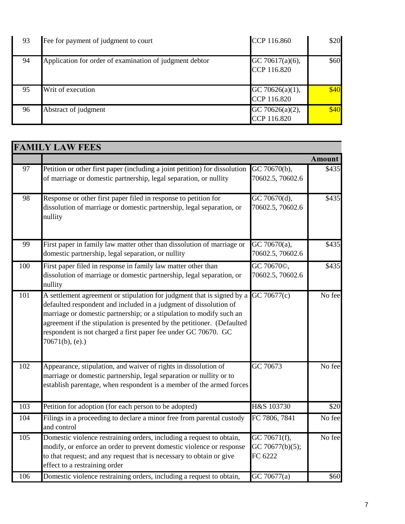| 93 | Fee for payment of judgment to court                    | CCP 116.860                    | \$20 |
|----|---------------------------------------------------------|--------------------------------|------|
| 94 | Application for order of examination of judgment debtor | GC 70617(a)(6),<br>CCP 116.820 | \$60 |
| 95 | Writ of execution                                       | GC 70626(a)(1),<br>CCP 116.820 | \$40 |
| 96 | Abstract of judgment                                    | GC 70626(a)(2),<br>CCP 116.820 | \$40 |

|     | <b>FAMILY LAW FEES</b>                                                                                                                                                                                                                                                                                                                                                                 |                                               |                      |
|-----|----------------------------------------------------------------------------------------------------------------------------------------------------------------------------------------------------------------------------------------------------------------------------------------------------------------------------------------------------------------------------------------|-----------------------------------------------|----------------------|
|     |                                                                                                                                                                                                                                                                                                                                                                                        |                                               | <b>Amount</b>        |
| 97  | Petition or other first paper (including a joint petition) for dissolution<br>of marriage or domestic partnership, legal separation, or nullity                                                                                                                                                                                                                                        | GC 70670(b),<br>70602.5, 70602.6              | \$435                |
| 98  | Response or other first paper filed in response to petition for<br>dissolution of marriage or domestic partnership, legal separation, or<br>nullity                                                                                                                                                                                                                                    | GC 70670(d),<br>70602.5, 70602.6              | \$435                |
| 99  | First paper in family law matter other than dissolution of marriage or<br>domestic partnership, legal separation, or nullity                                                                                                                                                                                                                                                           | $\overline{GC}$ 70670(a),<br>70602.5, 70602.6 | \$435                |
| 100 | First paper filed in response in family law matter other than<br>dissolution of marriage or domestic partnership, legal separation, or<br>nullity                                                                                                                                                                                                                                      | GC 70670©,<br>70602.5, 70602.6                | \$435                |
| 101 | A settlement agreement or stipulation for judgment that is signed by a<br>defaulted respondent and included in a judgment of dissolution of<br>marriage or domestic partnership; or a stipulation to modify such an<br>agreement if the stipulation is presented by the petitioner. (Defaulted<br>respondent is not charged a first paper fee under GC 70670. GC<br>$70671(b)$ , (e).) | GC 70677(c)                                   | No fee               |
| 102 | Appearance, stipulation, and waiver of rights in dissolution of<br>marriage or domestic partnership, legal separation or nullity or to<br>establish parentage, when respondent is a member of the armed forces                                                                                                                                                                         | GC 70673                                      | No fee               |
| 103 | Petition for adoption (for each person to be adopted)                                                                                                                                                                                                                                                                                                                                  | H&S 103730                                    | \$20                 |
| 104 | Filings in a proceeding to declare a minor free from parental custody<br>and control                                                                                                                                                                                                                                                                                                   | FC 7806, 7841                                 | $\overline{N}$ o fee |
| 105 | Domestic violence restraining orders, including a request to obtain,<br>modify, or enforce an order to prevent domestic violence or response<br>to that request; and any request that is necessary to obtain or give<br>effect to a restraining order                                                                                                                                  | GC 70671(f),<br>GC 70677(b)(5);<br>FC 6222    | No fee               |
| 106 | Domestic violence restraining orders, including a request to obtain,                                                                                                                                                                                                                                                                                                                   | GC 70677(a)                                   | \$60                 |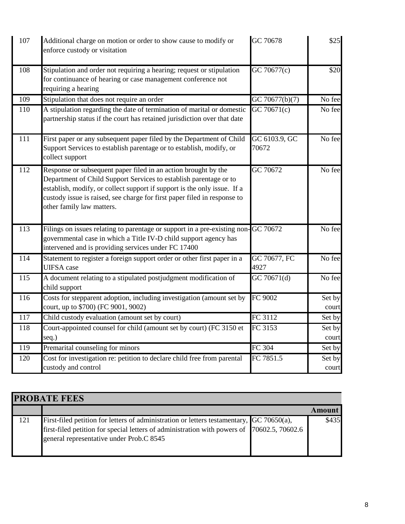| 107 | Additional charge on motion or order to show cause to modify or<br>enforce custody or visitation                                                                                                                                                                                                                         | GC 70678               | \$25            |
|-----|--------------------------------------------------------------------------------------------------------------------------------------------------------------------------------------------------------------------------------------------------------------------------------------------------------------------------|------------------------|-----------------|
| 108 | Stipulation and order not requiring a hearing; request or stipulation<br>for continuance of hearing or case management conference not<br>requiring a hearing                                                                                                                                                             | GC 70677(c)            | \$20            |
| 109 | Stipulation that does not require an order                                                                                                                                                                                                                                                                               | GC 70677(b)(7)         | No fee          |
| 110 | A stipulation regarding the date of termination of marital or domestic<br>partnership status if the court has retained jurisdiction over that date                                                                                                                                                                       | GC 70671(c)            | No fee          |
| 111 | First paper or any subsequent paper filed by the Department of Child<br>Support Services to establish parentage or to establish, modify, or<br>collect support                                                                                                                                                           | GC 6103.9, GC<br>70672 | No fee          |
| 112 | Response or subsequent paper filed in an action brought by the<br>Department of Child Support Services to establish parentage or to<br>establish, modify, or collect support if support is the only issue. If a<br>custody issue is raised, see charge for first paper filed in response to<br>other family law matters. | GC 70672               | No fee          |
| 113 | Filings on issues relating to parentage or support in a pre-existing non-GC 70672<br>governmental case in which a Title IV-D child support agency has<br>intervened and is providing services under FC 17400                                                                                                             |                        | No fee          |
| 114 | Statement to register a foreign support order or other first paper in a<br><b>UIFSA</b> case                                                                                                                                                                                                                             | GC 70677, FC<br>4927   | No fee          |
| 115 | A document relating to a stipulated postjudgment modification of<br>child support                                                                                                                                                                                                                                        | GC 70671(d)            | No fee          |
| 116 | Costs for stepparent adoption, including investigation (amount set by<br>court, up to \$700) (FC 9001, 9002)                                                                                                                                                                                                             | FC 9002                | Set by<br>court |
| 117 | Child custody evaluation (amount set by court)                                                                                                                                                                                                                                                                           | FC 3112                | Set by          |
| 118 | Court-appointed counsel for child (amount set by court) (FC 3150 et<br>seq.)                                                                                                                                                                                                                                             | FC 3153                | Set by<br>court |
| 119 | Premarital counseling for minors                                                                                                                                                                                                                                                                                         | FC 304                 | Set by          |
| 120 | Cost for investigation re: petition to declare child free from parental<br>custody and control                                                                                                                                                                                                                           | $\overline{FC 7851.5}$ | Set by<br>court |

| <b>PROBATE FEES</b> |                                                                                                                                                                                                                                           |  |        |
|---------------------|-------------------------------------------------------------------------------------------------------------------------------------------------------------------------------------------------------------------------------------------|--|--------|
|                     |                                                                                                                                                                                                                                           |  | Amount |
| 121                 | First-filed petition for letters of administration or letters testamentary, $\int$ GC 70650(a),<br>first-filed petition for special letters of administration with powers of 70602.5, 70602.6<br>general representative under Prob.C 8545 |  | \$435  |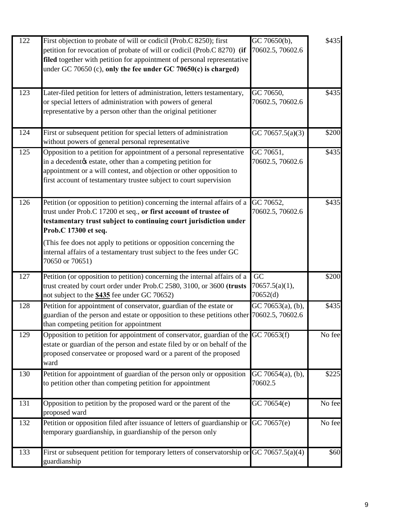| 122              | First objection to probate of will or codicil (Prob.C 8250); first<br>petition for revocation of probate of will or codicil (Prob.C 8270) (if<br>filed together with petition for appointment of personal representative<br>under GC 70650 (c), only the fee under GC 70650(c) is charged)                                                                                                                   | GC 70650(b),<br>70602.5, 70602.6    | \$435  |
|------------------|--------------------------------------------------------------------------------------------------------------------------------------------------------------------------------------------------------------------------------------------------------------------------------------------------------------------------------------------------------------------------------------------------------------|-------------------------------------|--------|
| $\overline{123}$ | Later-filed petition for letters of administration, letters testamentary,<br>or special letters of administration with powers of general<br>representative by a person other than the original petitioner                                                                                                                                                                                                    | GC 70650,<br>70602.5, 70602.6       | \$435  |
| 124              | First or subsequent petition for special letters of administration<br>without powers of general personal representative                                                                                                                                                                                                                                                                                      | GC 70657.5(a)(3)                    | \$200  |
| 125              | Opposition to a petition for appointment of a personal representative<br>in a decedentøs estate, other than a competing petition for<br>appointment or a will contest, and objection or other opposition to<br>first account of testamentary trustee subject to court supervision                                                                                                                            | GC 70651,<br>70602.5, 70602.6       | \$435  |
| 126              | Petition (or opposition to petition) concerning the internal affairs of a<br>trust under Prob.C 17200 et seq., or first account of trustee of<br>testamentary trust subject to continuing court jurisdiction under<br>Prob.C 17300 et seq.<br>(This fee does not apply to petitions or opposition concerning the<br>internal affairs of a testamentary trust subject to the fees under GC<br>70650 or 70651) | GC 70652,<br>70602.5, 70602.6       | \$435  |
| 127              | Petition (or opposition to petition) concerning the internal affairs of a<br>trust created by court order under Prob.C 2580, 3100, or 3600 (trusts<br>not subject to the \$435 fee under GC 70652)                                                                                                                                                                                                           | GC<br>70657.5(a)(1),<br>70652(d)    | \$200  |
| 128              | Petition for appointment of conservator, guardian of the estate or<br>guardian of the person and estate or opposition to these petitions other 70602.5, 70602.6<br>than competing petition for appointment                                                                                                                                                                                                   | $\overline{GC}$ 70653(a), (b),      | \$435  |
| 129              | Opposition to petition for appointment of conservator, guardian of the GC 70653(f)<br>estate or guardian of the person and estate filed by or on behalf of the<br>proposed conservatee or proposed ward or a parent of the proposed<br>ward                                                                                                                                                                  |                                     | No fee |
| 130              | Petition for appointment of guardian of the person only or opposition<br>to petition other than competing petition for appointment                                                                                                                                                                                                                                                                           | GC 70654 $(a)$ , $(b)$ ,<br>70602.5 | \$225  |
| 131              | Opposition to petition by the proposed ward or the parent of the<br>proposed ward                                                                                                                                                                                                                                                                                                                            | GC 70654(e)                         | No fee |
| 132              | Petition or opposition filed after issuance of letters of guardianship or GC 70657(e)<br>temporary guardianship, in guardianship of the person only                                                                                                                                                                                                                                                          |                                     | No fee |
| 133              | First or subsequent petition for temporary letters of conservatorship or GC 70657.5(a)(4)<br>guardianship                                                                                                                                                                                                                                                                                                    |                                     | \$60   |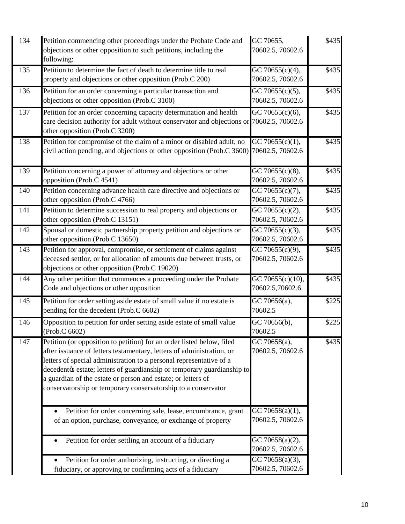| 134 | Petition commencing other proceedings under the Probate Code and<br>objections or other opposition to such petitions, including the<br>following:                                                                                                                                                                                                                                                                                 | GC 70655,<br>70602.5, 70602.6                    | \$435 |
|-----|-----------------------------------------------------------------------------------------------------------------------------------------------------------------------------------------------------------------------------------------------------------------------------------------------------------------------------------------------------------------------------------------------------------------------------------|--------------------------------------------------|-------|
| 135 | Petition to determine the fact of death to determine title to real<br>property and objections or other opposition (Prob.C 200)                                                                                                                                                                                                                                                                                                    | GC 70655(c)(4),<br>70602.5, 70602.6              | \$435 |
| 136 | Petition for an order concerning a particular transaction and<br>objections or other opposition (Prob.C 3100)                                                                                                                                                                                                                                                                                                                     | GC 70655 $(c)(5)$ ,<br>70602.5, 70602.6          | \$435 |
| 137 | Petition for an order concerning capacity determination and health<br>care decision authority for adult without conservator and objections or 70602.5, 70602.6<br>other opposition (Prob.C 3200)                                                                                                                                                                                                                                  | GC 70655(c)(6),                                  | \$435 |
| 138 | Petition for compromise of the claim of a minor or disabled adult, no<br>civil action pending, and objections or other opposition (Prob.C 3600) 70602.5, 70602.6                                                                                                                                                                                                                                                                  | $\overline{GC}$ 70655(c)(1),                     | \$435 |
| 139 | Petition concerning a power of attorney and objections or other<br>opposition (Prob.C 4541)                                                                                                                                                                                                                                                                                                                                       | $\overline{GC}$ 70655(c)(8),<br>70602.5, 70602.6 | \$435 |
| 140 | Petition concerning advance health care directive and objections or<br>other opposition (Prob.C 4766)                                                                                                                                                                                                                                                                                                                             | GC 70655(c)(7),<br>70602.5, 70602.6              | \$435 |
| 141 | Petition to determine succession to real property and objections or<br>other opposition (Prob.C 13151)                                                                                                                                                                                                                                                                                                                            | GC 70655(c)(2),<br>70602.5, 70602.6              | \$435 |
| 142 | Spousal or domestic partnership property petition and objections or<br>other opposition (Prob.C 13650)                                                                                                                                                                                                                                                                                                                            | GC 70655(c)(3),<br>70602.5, 70602.6              | \$435 |
| 143 | Petition for approval, compromise, or settlement of claims against<br>deceased settlor, or for allocation of amounts due between trusts, or<br>objections or other opposition (Prob.C 19020)                                                                                                                                                                                                                                      | GC 70655(c)(9),<br>70602.5, 70602.6              | \$435 |
| 144 | Any other petition that commences a proceeding under the Probate<br>Code and objections or other opposition                                                                                                                                                                                                                                                                                                                       | GC 70655(c)(10),<br>70602.5,70602.6              | \$435 |
| 145 | Petition for order setting aside estate of small value if no estate is<br>pending for the decedent (Prob.C 6602)                                                                                                                                                                                                                                                                                                                  | GC 70656(a),<br>70602.5                          | \$225 |
| 146 | Opposition to petition for order setting aside estate of small value<br>(Prob.C 6602)                                                                                                                                                                                                                                                                                                                                             | GC 70656(b),<br>70602.5                          | \$225 |
| 147 | Petition (or opposition to petition) for an order listed below, filed<br>after issuance of letters testamentary, letters of administration, or<br>letters of special administration to a personal representative of a<br>decedentøs estate; letters of guardianship or temporary guardianship to<br>a guardian of the estate or person and estate; or letters of<br>conservatorship or temporary conservatorship to a conservator | GC 70658(a),<br>70602.5, 70602.6                 | \$435 |
|     | Petition for order concerning sale, lease, encumbrance, grant<br>of an option, purchase, conveyance, or exchange of property                                                                                                                                                                                                                                                                                                      | GC 70658(a)(1),<br>70602.5, 70602.6              |       |
|     | Petition for order settling an account of a fiduciary                                                                                                                                                                                                                                                                                                                                                                             | GC 70658(a)(2),<br>70602.5, 70602.6              |       |
|     | Petition for order authorizing, instructing, or directing a<br>fiduciary, or approving or confirming acts of a fiduciary                                                                                                                                                                                                                                                                                                          | GC 70658(a)(3),<br>70602.5, 70602.6              |       |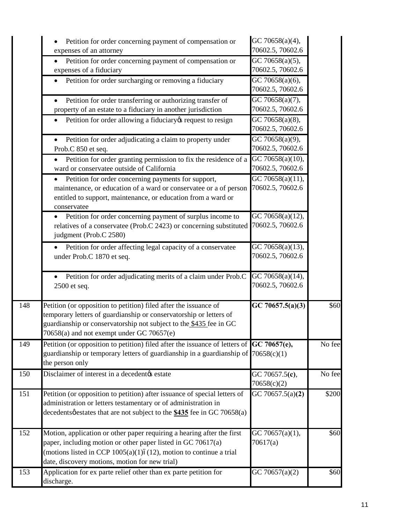|     | Petition for order concerning payment of compensation or<br>expenses of an attorney                                                                                                                                                                               | GC 70658(a)(4),<br>70602.5, 70602.6               |                      |
|-----|-------------------------------------------------------------------------------------------------------------------------------------------------------------------------------------------------------------------------------------------------------------------|---------------------------------------------------|----------------------|
|     | Petition for order concerning payment of compensation or<br>expenses of a fiduciary                                                                                                                                                                               | $\overline{GC 70658(a)(5)}$ ,<br>70602.5, 70602.6 |                      |
|     | Petition for order surcharging or removing a fiduciary                                                                                                                                                                                                            | $\overline{GC}$ 70658(a)(6),<br>70602.5, 70602.6  |                      |
|     | Petition for order transferring or authorizing transfer of<br>property of an estate to a fiduciary in another jurisdiction                                                                                                                                        | $\overline{GC}$ 70658(a)(7),<br>70602.5, 70602.6  |                      |
|     | Petition for order allowing a fiduciary & request to resign                                                                                                                                                                                                       | GC 70658(a)(8),<br>70602.5, 70602.6               |                      |
|     | Petition for order adjudicating a claim to property under<br>Prob.C 850 et seq.                                                                                                                                                                                   | GC 70658(a)(9),<br>70602.5, 70602.6               |                      |
|     | Petition for order granting permission to fix the residence of a<br>ward or conservatee outside of California                                                                                                                                                     | $\overline{GC}$ 70658(a)(10),<br>70602.5, 70602.6 |                      |
|     | Petition for order concerning payments for support,<br>maintenance, or education of a ward or conservatee or a of person<br>entitled to support, maintenance, or education from a ward or<br>conservatee                                                          | $\overline{GC}$ 70658(a)(11),<br>70602.5, 70602.6 |                      |
|     | Petition for order concerning payment of surplus income to<br>relatives of a conservatee (Prob.C 2423) or concerning substituted<br>judgment (Prob.C 2580)                                                                                                        | GC 70658(a)(12),<br>70602.5, 70602.6              |                      |
|     | Petition for order affecting legal capacity of a conservatee<br>under Prob.C 1870 et seq.                                                                                                                                                                         | GC 70658(a)(13),<br>70602.5, 70602.6              |                      |
|     | Petition for order adjudicating merits of a claim under Prob.C<br>2500 et seq.                                                                                                                                                                                    | GC 70658(a)(14),<br>70602.5, 70602.6              |                      |
| 148 | Petition (or opposition to petition) filed after the issuance of<br>temporary letters of guardianship or conservatorship or letters of<br>guardianship or conservatorship not subject to the \$435 fee in GC<br>70658(a) and not exempt under GC 70657(e)         | GC 70657.5(a)(3)                                  | \$60                 |
| 149 | Petition (or opposition to petition) filed after the issuance of letters of $ GC 70657(e),$<br>guardianship or temporary letters of guardianship in a guardianship of $70658(c)(1)$<br>the person only                                                            |                                                   | No fee               |
| 150 | Disclaimer of interest in a decedentøs estate                                                                                                                                                                                                                     | GC 70657.5(c),<br>70658(c)(2)                     | $\overline{N}$ o fee |
| 151 | Petition (or opposition to petition) after issuance of special letters of<br>administration or letters testamentary or of administration in<br>decedentsøestates that are not subject to the \$435 fee in GC 70658(a)                                             | GC 70657.5(a) $(2)$                               | \$200                |
| 152 | Motion, application or other paper requiring a hearing after the first<br>paper, including motion or other paper listed in GC 70617(a)<br>(motions listed in CCP $1005(a)(1)6(12)$ , motion to continue a trial<br>date, discovery motions, motion for new trial) | GC 70657(a)(1),<br>70617(a)                       | \$60                 |
| 153 | Application for ex parte relief other than ex parte petition for<br>discharge.                                                                                                                                                                                    | GC 70657(a) $(2)$                                 | \$60                 |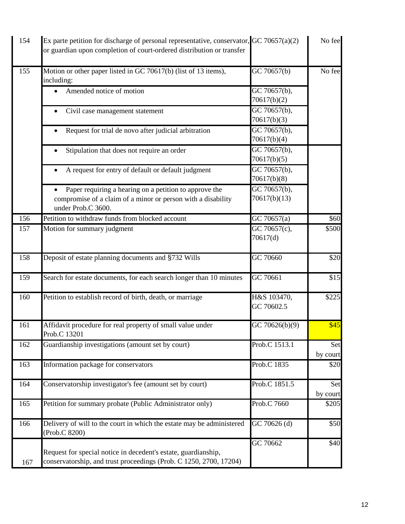| 154 | Ex parte petition for discharge of personal representative, conservator, $GC 70657(a)(2)$<br>or guardian upon completion of court-ordered distribution or transfer |                                          | No fee          |
|-----|--------------------------------------------------------------------------------------------------------------------------------------------------------------------|------------------------------------------|-----------------|
| 155 | Motion or other paper listed in GC 70617(b) (list of 13 items),<br>including:                                                                                      | GC 70657(b)                              | No fee          |
|     | Amended notice of motion                                                                                                                                           | GC 70657(b),<br>70617(b)(2)              |                 |
|     | Civil case management statement                                                                                                                                    | GC 70657(b),<br>70617(b)(3)              |                 |
|     | Request for trial de novo after judicial arbitration                                                                                                               | GC 70657(b),<br>70617(b)(4)              |                 |
|     | Stipulation that does not require an order                                                                                                                         | $\overline{GC}$ 70657(b),<br>70617(b)(5) |                 |
|     | A request for entry of default or default judgment                                                                                                                 | GC 70657(b),<br>70617(b)(8)              |                 |
|     | Paper requiring a hearing on a petition to approve the<br>compromise of a claim of a minor or person with a disability<br>under Prob.C 3600.                       | GC 70657(b),<br>70617(b)(13)             |                 |
| 156 | Petition to withdraw funds from blocked account                                                                                                                    | GC 70657(a)                              | \$60            |
| 157 | Motion for summary judgment                                                                                                                                        | $\overline{GC}$ 70657(c),<br>70617(d)    | \$500           |
| 158 | Deposit of estate planning documents and §732 Wills                                                                                                                | $\overline{GC}$ 70660                    | \$20            |
| 159 | Search for estate documents, for each search longer than 10 minutes                                                                                                | GC 70661                                 | \$15            |
| 160 | Petition to establish record of birth, death, or marriage                                                                                                          | H&S 103470,<br>GC 70602.5                | \$225           |
| 161 | Affidavit procedure for real property of small value under<br>Prob.C 13201                                                                                         | GC 70626(b)(9)                           | \$45            |
| 162 | Guardianship investigations (amount set by court)                                                                                                                  | Prob.C 1513.1                            | Set<br>by court |
| 163 | Information package for conservators                                                                                                                               | Prob.C 1835                              | \$20            |
| 164 | Conservatorship investigator's fee (amount set by court)                                                                                                           | Prob.C 1851.5                            | Set<br>by court |
| 165 | Petition for summary probate (Public Administrator only)                                                                                                           | Prob.C 7660                              | \$205           |
| 166 | Delivery of will to the court in which the estate may be administered<br>(Prob.C 8200)                                                                             | GC 70626 (d)                             | \$50            |
| 167 | Request for special notice in decedent's estate, guardianship,<br>conservatorship, and trust proceedings (Prob. C 1250, 2700, 17204)                               | GC 70662                                 | \$40            |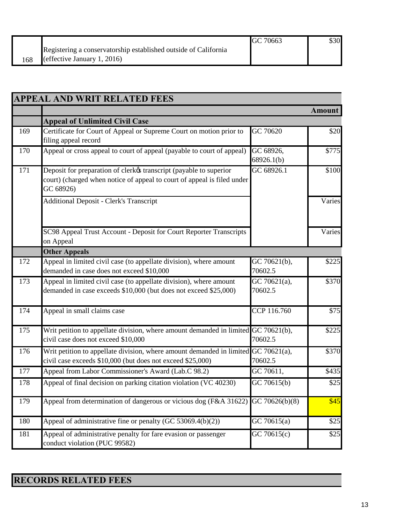|                                                                 | GC 70663 | \$30 |
|-----------------------------------------------------------------|----------|------|
| Registering a conservatorship established outside of California |          |      |
| (effective January 1, 2016)                                     |          |      |

|     | <b>APPEAL AND WRIT RELATED FEES</b>                                                                                                                        |                                       |        |
|-----|------------------------------------------------------------------------------------------------------------------------------------------------------------|---------------------------------------|--------|
|     |                                                                                                                                                            |                                       | Amount |
|     | <b>Appeal of Unlimited Civil Case</b>                                                                                                                      |                                       |        |
| 169 | Certificate for Court of Appeal or Supreme Court on motion prior to<br>filing appeal record                                                                | GC 70620                              | \$20   |
| 170 | Appeal or cross appeal to court of appeal (payable to court of appeal)                                                                                     | GC 68926,<br>68926.1(b)               | \$775  |
| 171 | Deposit for preparation of clerkøs transcript (payable to superior<br>court) (charged when notice of appeal to court of appeal is filed under<br>GC 68926) | $\overline{GC 6892}6.1$               | \$100  |
|     | <b>Additional Deposit - Clerk's Transcript</b>                                                                                                             |                                       | Varies |
|     | SC98 Appeal Trust Account - Deposit for Court Reporter Transcripts<br>on Appeal                                                                            |                                       | Varies |
|     | <b>Other Appeals</b>                                                                                                                                       |                                       |        |
| 172 | Appeal in limited civil case (to appellate division), where amount<br>demanded in case does not exceed \$10,000                                            | GC 70621(b),<br>70602.5               | \$225  |
| 173 | Appeal in limited civil case (to appellate division), where amount<br>demanded in case exceeds \$10,000 (but does not exceed \$25,000)                     | $\overline{GC 70621(a)}$ ,<br>70602.5 | \$370  |
| 174 | Appeal in small claims case                                                                                                                                | CCP 116.760                           | \$75   |
| 175 | Writ petition to appellate division, where amount demanded in limited GC 70621(b),<br>civil case does not exceed \$10,000                                  | 70602.5                               | \$225  |
| 176 | Writ petition to appellate division, where amount demanded in limited $GC$ 70621(a),<br>civil case exceeds \$10,000 (but does not exceed \$25,000)         | 70602.5                               | \$370  |
| 177 | Appeal from Labor Commissioner's Award (Lab.C 98.2)                                                                                                        | GC 70611,                             | \$435  |
| 178 | Appeal of final decision on parking citation violation (VC 40230)                                                                                          | $\overline{GC}$ 70615(b)              | \$25   |
| 179 | Appeal from determination of dangerous or vicious dog (F&A 31622)                                                                                          | GC 70626(b)(8)                        | \$45   |
| 180 | Appeal of administrative fine or penalty (GC 53069.4(b)(2))                                                                                                | GC70615(a)                            | \$25   |
| 181 | Appeal of administrative penalty for fare evasion or passenger<br>conduct violation (PUC 99582)                                                            | GC 70615(c)                           | \$25   |

## **RECORDS RELATED FEES**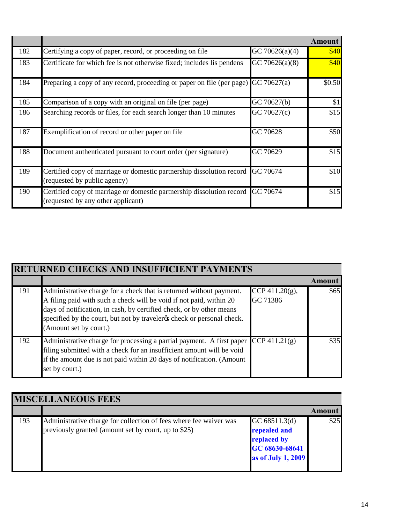|     |                                                                                                             |                   | <b>Amount</b> |
|-----|-------------------------------------------------------------------------------------------------------------|-------------------|---------------|
| 182 | Certifying a copy of paper, record, or proceeding on file                                                   | GC 70626(a)(4)    | \$40          |
| 183 | Certificate for which fee is not otherwise fixed; includes lis pendens                                      | GC 70626(a) $(8)$ | \$40          |
| 184 | Preparing a copy of any record, proceeding or paper on file (per page)                                      | GC 70627(a)       | \$0.50        |
| 185 | Comparison of a copy with an original on file (per page)                                                    | GC 70627(b)       | \$1           |
| 186 | Searching records or files, for each search longer than 10 minutes                                          | GC 70627(c)       | \$15          |
| 187 | Exemplification of record or other paper on file.                                                           | GC 70628          | \$50          |
| 188 | Document authenticated pursuant to court order (per signature)                                              | GC 70629          | \$15          |
| 189 | Certified copy of marriage or domestic partnership dissolution record<br>(requested by public agency)       | GC 70674          | \$10          |
| 190 | Certified copy of marriage or domestic partnership dissolution record<br>(requested by any other applicant) | GC 70674          | \$15          |

| RETURNED CHECKS AND INSUFFICIENT PAYMENTS |                                                                                                                                                                                                                                                                                                                          |                                |               |
|-------------------------------------------|--------------------------------------------------------------------------------------------------------------------------------------------------------------------------------------------------------------------------------------------------------------------------------------------------------------------------|--------------------------------|---------------|
|                                           |                                                                                                                                                                                                                                                                                                                          |                                | <b>Amount</b> |
| 191                                       | Administrative charge for a check that is returned without payment.<br>A filing paid with such a check will be void if not paid, within 20<br>days of notification, in cash, by certified check, or by other means<br>specified by the court, but not by traveler the check or personal check.<br>(Amount set by court.) | CCP 411.20 $(g)$ ,<br>GC 71386 | \$65          |
| 192                                       | Administrative charge for processing a partial payment. A first paper<br>filing submitted with a check for an insufficient amount will be void<br>if the amount due is not paid within 20 days of notification. (Amount<br>set by court.)                                                                                | $CCP\,411.21(g)$               | \$35          |

| <b>MISCELLANEOUS FEES</b> |                                                                                                                           |                                                                                      |        |
|---------------------------|---------------------------------------------------------------------------------------------------------------------------|--------------------------------------------------------------------------------------|--------|
|                           |                                                                                                                           |                                                                                      | Amount |
| 193                       | Administrative charge for collection of fees where fee waiver was<br>previously granted (amount set by court, up to \$25) | GC 68511.3(d)<br>repealed and<br>replaced by<br>GC 68630-68641<br>as of July 1, 2009 | \$25   |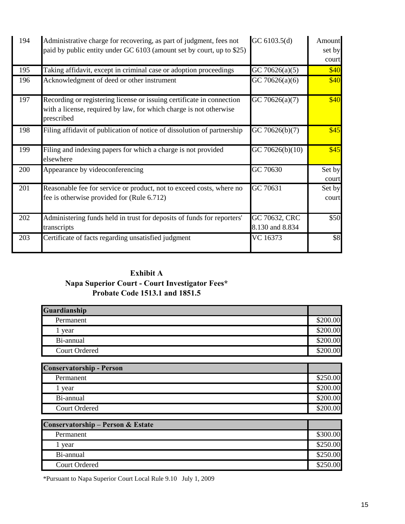| 194 | Administrative charge for recovering, as part of judgment, fees not<br>paid by public entity under GC 6103 (amount set by court, up to \$25)              | GC 6103.5(d)                     | Amount<br>set by<br>court |
|-----|-----------------------------------------------------------------------------------------------------------------------------------------------------------|----------------------------------|---------------------------|
| 195 | Taking affidavit, except in criminal case or adoption proceedings                                                                                         | GC 70626(a)(5)                   | \$40                      |
| 196 | Acknowledgment of deed or other instrument                                                                                                                | GC 70626(a)(6)                   | \$40                      |
| 197 | Recording or registering license or issuing certificate in connection<br>with a license, required by law, for which charge is not otherwise<br>prescribed | GC 70626(a)(7)                   | \$40                      |
| 198 | Filing affidavit of publication of notice of dissolution of partnership                                                                                   | GC 70626(b)(7)                   | \$45                      |
| 199 | Filing and indexing papers for which a charge is not provided<br>elsewhere                                                                                | GC 70626(b)(10)                  | \$45                      |
| 200 | Appearance by videoconferencing                                                                                                                           | GC 70630                         | Set by<br>court           |
| 201 | Reasonable fee for service or product, not to exceed costs, where no<br>fee is otherwise provided for (Rule 6.712)                                        | GC 70631                         | Set by<br>court           |
| 202 | Administering funds held in trust for deposits of funds for reporters'<br>transcripts                                                                     | GC 70632, CRC<br>8.130 and 8.834 | \$50                      |
| 203 | Certificate of facts regarding unsatisfied judgment                                                                                                       | VC 16373                         | \$8                       |

## **Exhibit A Napa Superior Court - Court Investigator Fees\* Probate Code 1513.1 and 1851.5**

| Guardianship                    |          |
|---------------------------------|----------|
| Permanent                       | \$200.00 |
| 1 year                          | \$200.00 |
| Bi-annual                       | \$200.00 |
| <b>Court Ordered</b>            | \$200.00 |
|                                 |          |
| <b>Conservatorship - Person</b> |          |
| Permanent                       | \$250.00 |
| 1 year                          | \$200.00 |
| Bi-annual                       | \$200.00 |
| <b>Court Ordered</b>            | \$200.00 |
|                                 |          |

| <b>Conservatorship – Person &amp; Estate</b> |          |
|----------------------------------------------|----------|
| Permanent                                    | \$300.00 |
| vear                                         | \$250.00 |
| Bi-annual                                    | \$250.00 |
| <b>Court Ordered</b>                         | \$250.00 |

\*Pursuant to Napa Superior Court Local Rule 9.10 July 1, 2009